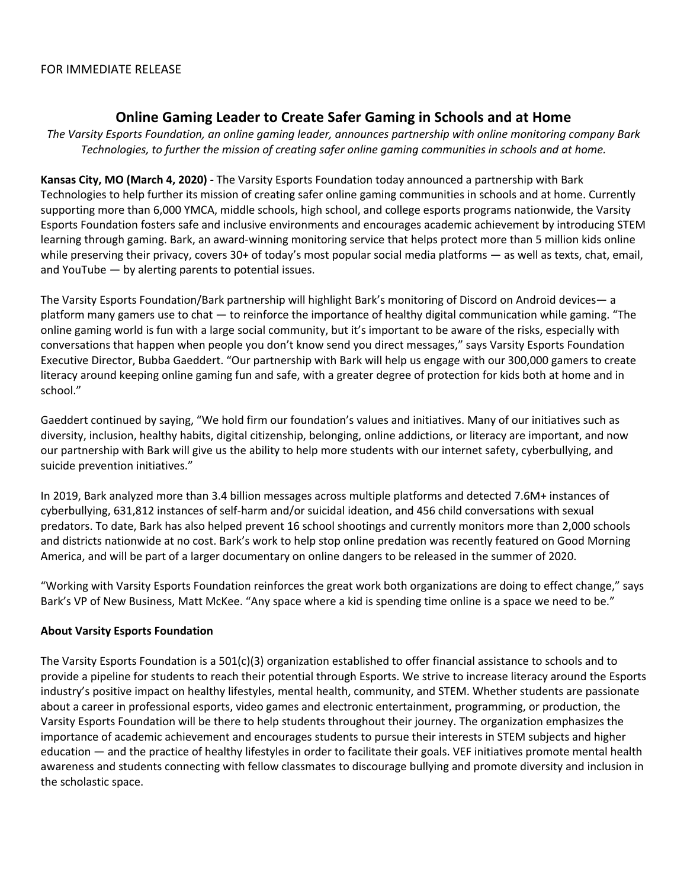## **Online Gaming Leader to Create Safer Gaming in Schools and at Home**

*The Varsity Esports Foundation, an online gaming leader, announces partnership with online monitoring company Bark Technologies, to further the mission of creating safer online gaming communities in schools and at home.*

**Kansas City, MO (March 4, 2020)** *-* The Varsity Esports Foundation today announced a partnership with Bark Technologies to help further its mission of creating safer online gaming communities in schools and at home. Currently supporting more than 6,000 YMCA, middle schools, high school, and college esports programs nationwide, the Varsity Esports Foundation fosters safe and inclusive environments and encourages academic achievement by introducing STEM learning through gaming. Bark, an award-winning monitoring service that helps protect more than 5 million kids online while preserving their privacy, covers 30+ of today's most popular social media platforms — as well as texts, chat, email, and YouTube — by alerting parents to potential issues.

The Varsity Esports Foundation/Bark partnership will highlight Bark's monitoring of Discord on Android devices— a platform many gamers use to chat — to reinforce the importance of healthy digital communication while gaming. "The online gaming world is fun with a large social community, but it's important to be aware of the risks, especially with conversations that happen when people you don't know send you direct messages," says Varsity Esports Foundation Executive Director, Bubba Gaeddert. "Our partnership with Bark will help us engage with our 300,000 gamers to create literacy around keeping online gaming fun and safe, with a greater degree of protection for kids both at home and in school."

Gaeddert continued by saying, "We hold firm our foundation's values and initiatives. Many of our initiatives such as diversity, inclusion, healthy habits, digital citizenship, belonging, online addictions, or literacy are important, and now our partnership with Bark will give us the ability to help more students with our internet safety, cyberbullying, and suicide prevention initiatives."

In 2019, Bark analyzed more than 3.4 billion messages across multiple platforms and detected 7.6M+ instances of cyberbullying, 631,812 instances of self-harm and/or suicidal ideation, and 456 child conversations with sexual predators. To date, Bark has also helped prevent 16 school shootings and currently monitors more than 2,000 schools and districts nationwide at no cost. Bark's work to help stop online predation was recently featured on Good Morning America, and will be part of a larger documentary on online dangers to be released in the summer of 2020.

"Working with Varsity Esports Foundation reinforces the great work both organizations are doing to effect change," says Bark's VP of New Business, Matt McKee. "Any space where a kid is spending time online is a space we need to be."

## **About Varsity Esports Foundation**

The Varsity Esports Foundation is a  $501(c)(3)$  organization established to offer financial assistance to schools and to provide a pipeline for students to reach their potential through Esports. We strive to increase literacy around the Esports industry's positive impact on healthy lifestyles, mental health, community, and STEM. Whether students are passionate about a career in professional esports, video games and electronic entertainment, programming, or production, the Varsity Esports Foundation will be there to help students throughout their journey. The organization emphasizes the importance of academic achievement and encourages students to pursue their interests in STEM subjects and higher education — and the practice of healthy lifestyles in order to facilitate their goals. VEF initiatives promote mental health awareness and students connecting with fellow classmates to discourage bullying and promote diversity and inclusion in the scholastic space.